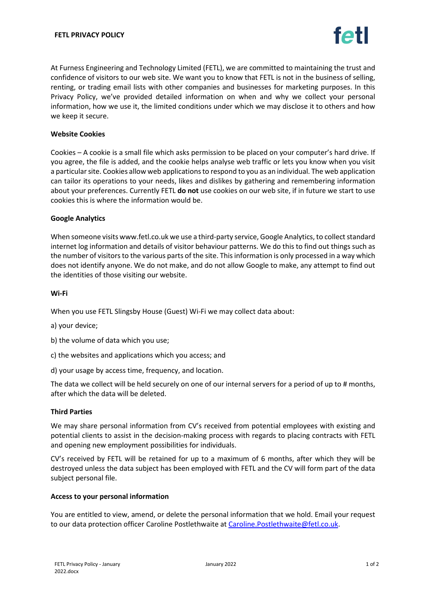At Furness Engineering and Technology Limited (FETL), we are committed to maintaining the trust and confidence of visitors to our web site. We want you to know that FETL is not in the business of selling, renting, or trading email lists with other companies and businesses for marketing purposes. In this Privacy Policy, we've provided detailed information on when and why we collect your personal information, how we use it, the limited conditions under which we may disclose it to others and how we keep it secure.

#### **Website Cookies**

Cookies – A cookie is a small file which asks permission to be placed on your computer's hard drive. If you agree, the file is added, and the cookie helps analyse web traffic or lets you know when you visit a particular site. Cookies allow web applications to respond to you as an individual. The web application can tailor its operations to your needs, likes and dislikes by gathering and remembering information about your preferences. Currently FETL **do not** use cookies on our web site, if in future we start to use cookies this is where the information would be.

#### **Google Analytics**

When someone visits www.fetl.co.uk we use a third-party service, Google Analytics, to collect standard internet log information and details of visitor behaviour patterns. We do this to find out things such as the number of visitors to the various parts of the site. This information is only processed in a way which does not identify anyone. We do not make, and do not allow Google to make, any attempt to find out the identities of those visiting our website.

## **Wi-Fi**

When you use FETL Slingsby House (Guest) Wi-Fi we may collect data about:

a) your device;

b) the volume of data which you use;

- c) the websites and applications which you access; and
- d) your usage by access time, frequency, and location.

The data we collect will be held securely on one of our internal servers for a period of up to # months, after which the data will be deleted.

## **Third Parties**

We may share personal information from CV's received from potential employees with existing and potential clients to assist in the decision-making process with regards to placing contracts with FETL and opening new employment possibilities for individuals.

CV's received by FETL will be retained for up to a maximum of 6 months, after which they will be destroyed unless the data subject has been employed with FETL and the CV will form part of the data subject personal file.

#### **Access to your personal information**

You are entitled to view, amend, or delete the personal information that we hold. Email your request to our data protection officer Caroline Postlethwaite a[t Caroline.Postlethwaite@fetl.co.uk.](mailto:Caroline.Postlethwaite@fetl.co.uk)